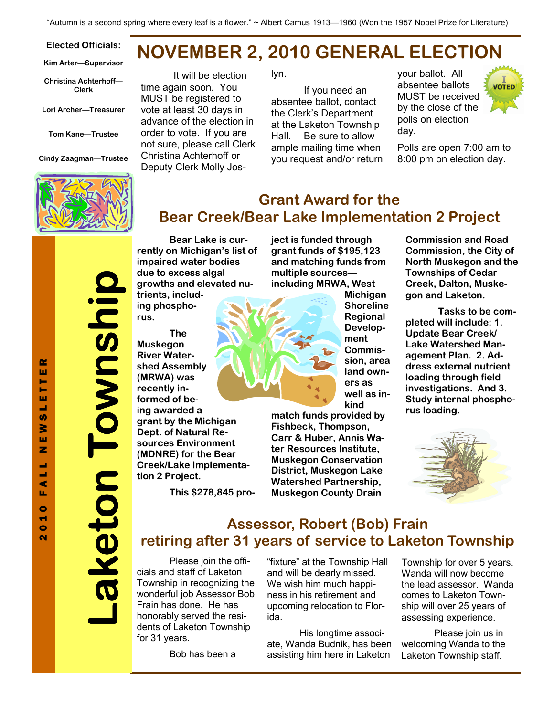#### Elected Officials:

Kim Arter—Supervisor

Christina Achterhoff— Clerk

Lori Archer—Treasurer

Tom Kane—Trustee

Cindy Zaagman—Trustee



# NOVEMBER 2, 2010 GENERAL ELECTION

It will be election time again soon. You MUST be registered to vote at least 30 days in advance of the election in order to vote. If you are not sure, please call Clerk Christina Achterhoff or Deputy Clerk Molly Joslyn.

 If you need an absentee ballot, contact the Clerk's Department at the Laketon Township Hall. Be sure to allow ample mailing time when you request and/or return your ballot. All absentee ballots MUST be received by the close of the polls on election day.



Polls are open 7:00 am to 8:00 pm on election day.

### Grant Award for the Bear Creek/Bear Lake Implementation 2 Project

Laketon Township aketon Township

 Bear Lake is currently on Michigan's list of impaired water bodies due to excess algal growths and elevated nutrients, including phosphorus.

 The Muskegon River Watershed Assembly (MRWA) was recently informed of being awarded a grant by the Michigan Dept. of Natural Resources Environment (MDNRE) for the Bear Creek/Lake Implementation 2 Project.

This \$278,845 pro-

ject is funded through grant funds of \$195,123 and matching funds from multiple sources including MRWA, West



**Michigan** Shoreline Regional Development Commission, area land owners as well as inkind

match funds provided by Fishbeck, Thompson, Carr & Huber, Annis Water Resources Institute, Muskegon Conservation District, Muskegon Lake Watershed Partnership, Muskegon County Drain

Commission and Road Commission, the City of North Muskegon and the Townships of Cedar Creek, Dalton, Muskegon and Laketon.

 Tasks to be completed will include: 1. Update Bear Creek/ Lake Watershed Management Plan. 2. Address external nutrient loading through field investigations. And 3. Study internal phosphorus loading.



### Assessor, Robert (Bob) Frain retiring after 31 years of service to Laketon Township

 Please join the officials and staff of Laketon Township in recognizing the wonderful job Assessor Bob Frain has done. He has honorably served the residents of Laketon Township for 31 years.

Bob has been a

"fixture" at the Township Hall and will be dearly missed. We wish him much happiness in his retirement and upcoming relocation to Florida.

 His longtime associate, Wanda Budnik, has been assisting him here in Laketon

Township for over 5 years. Wanda will now become the lead assessor. Wanda comes to Laketon Township will over 25 years of assessing experience.

 Please join us in welcoming Wanda to the Laketon Township staff.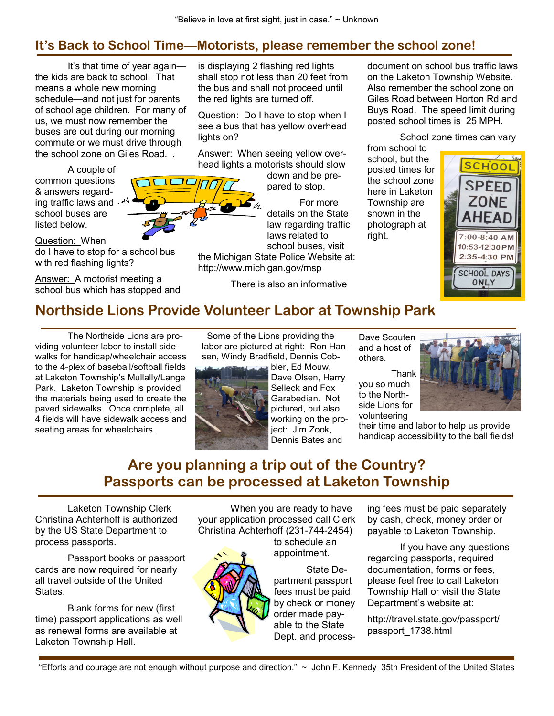### It's Back to School Time—Motorists, please remember the school zone!

 It's that time of year again the kids are back to school. That means a whole new morning schedule—and not just for parents of school age children. For many of us, we must now remember the buses are out during our morning commute or we must drive through the school zone on Giles Road. .

**IOOC** 

 A couple of common questions & answers regarding traffic laws and  $\sqrt{ }$ school buses are listed below.

Question: When do I have to stop for a school bus with red flashing lights?

Answer: A motorist meeting a school bus which has stopped and is displaying 2 flashing red lights shall stop not less than 20 feet from the bus and shall not proceed until the red lights are turned off.

Question: Do I have to stop when I see a bus that has yellow overhead lights on?

Answer: When seeing yellow overhead lights a motorists should slow

> down and be prepared to stop.

 For more details on the State law regarding traffic laws related to school buses, visit

the Michigan State Police Website at: http://www.michigan.gov/msp

There is also an informative

document on school bus traffic laws on the Laketon Township Website. Also remember the school zone on Giles Road between Horton Rd and Buys Road. The speed limit during posted school times is 25 MPH.

School zone times can vary

from school to school, but the posted times for the school zone here in Laketon Township are shown in the photograph at right.



## Northside Lions Provide Volunteer Labor at Township Park

 The Northside Lions are providing volunteer labor to install sidewalks for handicap/wheelchair access to the 4-plex of baseball/softball fields at Laketon Township's Mullally/Lange Park. Laketon Township is provided the materials being used to create the paved sidewalks. Once complete, all 4 fields will have sidewalk access and seating areas for wheelchairs.

 Some of the Lions providing the labor are pictured at right: Ron Hansen, Windy Bradfield, Dennis Cob-

**bler**, Ed Mouw, Dave Olsen, Harry Selleck and Fox Garabedian. Not pictured, but also working on the proiect: Jim Zook, Dennis Bates and

Dave Scouten and a host of others.

you so much to the Northside Lions for volunteering

their time and labor to help us provide handicap accessibility to the ball fields!

# Are you planning a trip out of the Country? Passports can be processed at Laketon Township

Laketon Township Clerk Christina Achterhoff is authorized by the US State Department to process passports.

 Passport books or passport cards are now required for nearly all travel outside of the United States.

 Blank forms for new (first time) passport applications as well as renewal forms are available at Laketon Township Hall.

 When you are ready to have your application processed call Clerk Christina Achterhoff (231-744-2454)

to schedule an appointment.

 State Department passport fees must be paid by check or money order made payable to the State Dept. and processing fees must be paid separately by cash, check, money order or payable to Laketon Township.

 If you have any questions regarding passports, required documentation, forms or fees, please feel free to call Laketon Township Hall or visit the State Department's website at:

http://travel.state.gov/passport/ passport\_1738.html

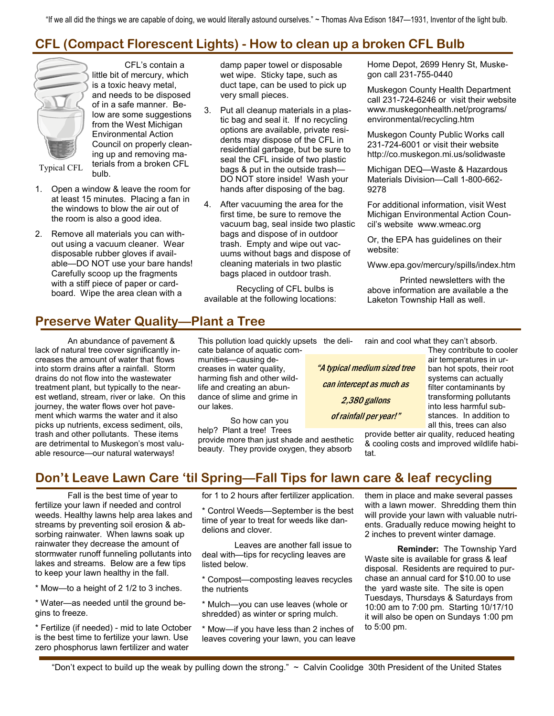"If we all did the things we are capable of doing, we would literally astound ourselves." ~ Thomas Alva Edison 1847—1931, Inventor of the light bulb.

## CFL (Compact Florescent Lights) - How to clean up a broken CFL Bulb



 CFL's contain a little bit of mercury, which is a toxic heavy metal, and needs to be disposed of in a safe manner. Below are some suggestions from the West Michigan Environmental Action Council on properly cleaning up and removing materials from a broken CFL bulb.

Typical CFL

- 1. Open a window & leave the room for at least 15 minutes. Placing a fan in the windows to blow the air out of the room is also a good idea.
- 2. Remove all materials you can without using a vacuum cleaner. Wear disposable rubber gloves if available—DO NOT use your bare hands! Carefully scoop up the fragments with a stiff piece of paper or cardboard. Wipe the area clean with a

damp paper towel or disposable wet wipe. Sticky tape, such as duct tape, can be used to pick up very small pieces.

- 3. Put all cleanup materials in a plastic bag and seal it. If no recycling options are available, private residents may dispose of the CFL in residential garbage, but be sure to seal the CFL inside of two plastic bags & put in the outside trash— DO NOT store inside! Wash your hands after disposing of the bag.
- 4. After vacuuming the area for the first time, be sure to remove the vacuum bag, seal inside two plastic bags and dispose of in outdoor trash. Empty and wipe out vacuums without bags and dispose of cleaning materials in two plastic bags placed in outdoor trash.

 Recycling of CFL bulbs is available at the following locations: Home Depot, 2699 Henry St, Muskegon call 231-755-0440

Muskegon County Health Department call 231-724-6246 or visit their website www.muskegonhealth.net/programs/ environmental/recycling.htm

Muskegon County Public Works call 231-724-6001 or visit their website http://co.muskegon.mi.us/solidwaste

Michigan DEQ—Waste & Hazardous Materials Division—Call 1-800-662- 9278

For additional information, visit West Michigan Environmental Action Council's website www.wmeac.org

Or, the EPA has guidelines on their website:

Www.epa.gov/mercury/spills/index.htm

 Printed newsletters with the above information are available a the Laketon Township Hall as well.

#### Preserve Water Quality—Plant a Tree

 An abundance of pavement & lack of natural tree cover significantly increases the amount of water that flows into storm drains after a rainfall. Storm drains do not flow into the wastewater treatment plant, but typically to the nearest wetland, stream, river or lake. On this journey, the water flows over hot pavement which warms the water and it also picks up nutrients, excess sediment, oils, trash and other pollutants. These items are detrimental to Muskegon's most valuable resource—our natural waterways!

This pollution load quickly upsets the delicate balance of aquatic com-

munities—causing decreases in water quality, harming fish and other wildlife and creating an abundance of slime and grime in our lakes.

 So how can you help? Plant a tree! Trees

provide more than just shade and aesthetic beauty. They provide oxygen, they absorb

rain and cool what they can't absorb.

"A typical medium sized tree can intercept as much as 2,380 gallons of rainfall per year!"

They contribute to cooler air temperatures in urban hot spots, their root systems can actually filter contaminants by transforming pollutants into less harmful substances. In addition to all this, trees can also

provide better air quality, reduced heating & cooling costs and improved wildlife habitat.

#### Don't Leave Lawn Care 'til Spring—Fall Tips for lawn care & leaf recycling

 Fall is the best time of year to fertilize your lawn if needed and control weeds. Healthy lawns help area lakes and streams by preventing soil erosion & absorbing rainwater. When lawns soak up rainwater they decrease the amount of stormwater runoff funneling pollutants into lakes and streams. Below are a few tips to keep your lawn healthy in the fall.

\* Mow—to a height of 2 1/2 to 3 inches.

\* Water—as needed until the ground begins to freeze.

\* Fertilize (if needed) - mid to late October is the best time to fertilize your lawn. Use zero phosphorus lawn fertilizer and water

for 1 to 2 hours after fertilizer application.

\* Control Weeds—September is the best time of year to treat for weeds like dandelions and clover.

 Leaves are another fall issue to deal with—tips for recycling leaves are listed below.

\* Compost—composting leaves recycles the nutrients

\* Mulch—you can use leaves (whole or shredded) as winter or spring mulch.

\* Mow—if you have less than 2 inches of leaves covering your lawn, you can leave them in place and make several passes with a lawn mower. Shredding them thin will provide your lawn with valuable nutrients. Gradually reduce mowing height to 2 inches to prevent winter damage.

 Reminder: The Township Yard Waste site is available for grass & leaf disposal. Residents are required to purchase an annual card for \$10.00 to use the yard waste site. The site is open Tuesdays, Thursdays & Saturdays from 10:00 am to 7:00 pm. Starting 10/17/10 it will also be open on Sundays 1:00 pm to 5:00 pm.